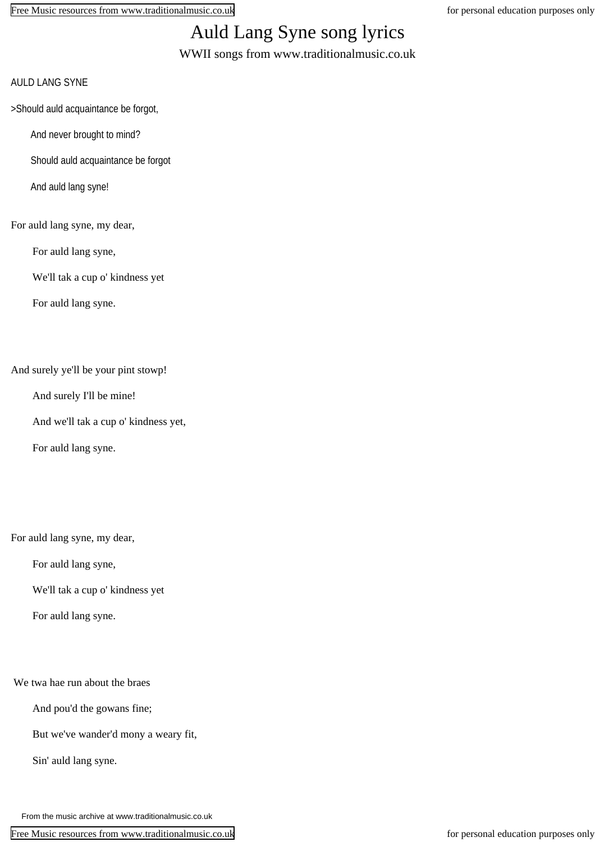[Free Music resources from www.traditionalmusic.co.uk](http://www.traditionalmusic.co.uk) for personal education purposes only

## Auld Lang Syne song lyrics

WWII songs from www.traditionalmusic.co.uk

- AULD LANG SYNE
- >Should auld acquaintance be forgot,
	- And never brought to mind?
	- Should auld acquaintance be forgot
	- And auld lang syne!
- For auld lang syne, my dear,
	- For auld lang syne,
	- We'll tak a cup o' kindness yet
	- For auld lang syne.

And surely ye'll be your pint stowp!

- And surely I'll be mine!
- And we'll tak a cup o' kindness yet,
- For auld lang syne.

For auld lang syne, my dear,

For auld lang syne,

- We'll tak a cup o' kindness yet
- For auld lang syne.

We twa hae run about the braes

And pou'd the gowans fine;

- But we've wander'd mony a weary fit,
- Sin' auld lang syne.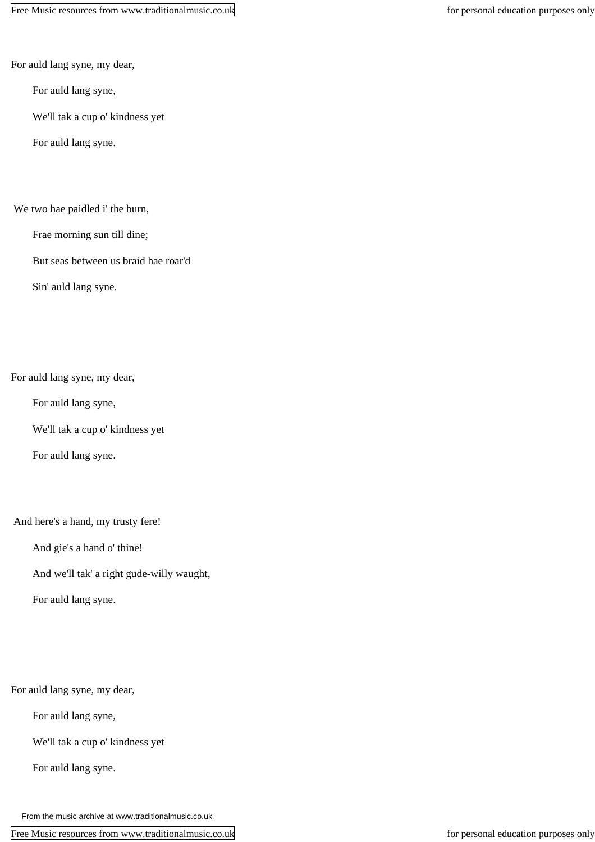For auld lang syne, my dear,

For auld lang syne,

We'll tak a cup o' kindness yet

For auld lang syne.

## We two hae paidled i' the burn,

Frae morning sun till dine;

But seas between us braid hae roar'd

Sin' auld lang syne.

For auld lang syne, my dear,

For auld lang syne,

We'll tak a cup o' kindness yet

For auld lang syne.

And here's a hand, my trusty fere!

And gie's a hand o' thine!

And we'll tak' a right gude-willy waught,

For auld lang syne.

For auld lang syne, my dear,

For auld lang syne,

We'll tak a cup o' kindness yet

For auld lang syne.

From the music archive at www.traditionalmusic.co.uk